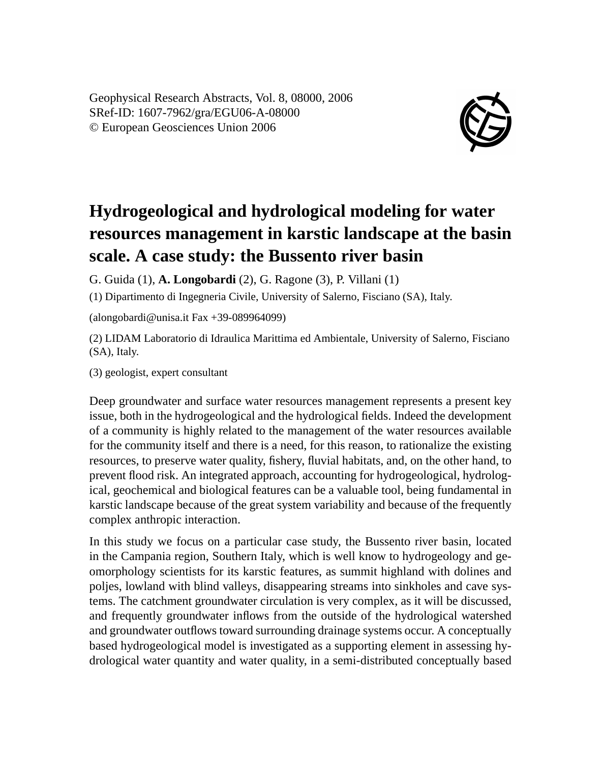Geophysical Research Abstracts, Vol. 8, 08000, 2006 SRef-ID: 1607-7962/gra/EGU06-A-08000 © European Geosciences Union 2006



## **Hydrogeological and hydrological modeling for water resources management in karstic landscape at the basin scale. A case study: the Bussento river basin**

G. Guida (1), **A. Longobardi** (2), G. Ragone (3), P. Villani (1)

(1) Dipartimento di Ingegneria Civile, University of Salerno, Fisciano (SA), Italy.

(alongobardi@unisa.it Fax +39-089964099)

(2) LIDAM Laboratorio di Idraulica Marittima ed Ambientale, University of Salerno, Fisciano (SA), Italy.

(3) geologist, expert consultant

Deep groundwater and surface water resources management represents a present key issue, both in the hydrogeological and the hydrological fields. Indeed the development of a community is highly related to the management of the water resources available for the community itself and there is a need, for this reason, to rationalize the existing resources, to preserve water quality, fishery, fluvial habitats, and, on the other hand, to prevent flood risk. An integrated approach, accounting for hydrogeological, hydrological, geochemical and biological features can be a valuable tool, being fundamental in karstic landscape because of the great system variability and because of the frequently complex anthropic interaction.

In this study we focus on a particular case study, the Bussento river basin, located in the Campania region, Southern Italy, which is well know to hydrogeology and geomorphology scientists for its karstic features, as summit highland with dolines and poljes, lowland with blind valleys, disappearing streams into sinkholes and cave systems. The catchment groundwater circulation is very complex, as it will be discussed, and frequently groundwater inflows from the outside of the hydrological watershed and groundwater outflows toward surrounding drainage systems occur. A conceptually based hydrogeological model is investigated as a supporting element in assessing hydrological water quantity and water quality, in a semi-distributed conceptually based